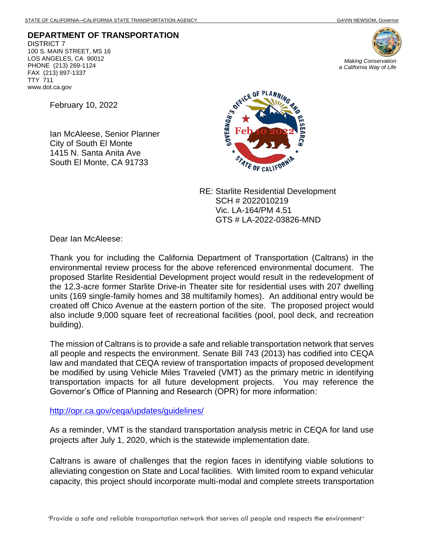**DEPARTMENT OF TRANSPORTATION** DISTRICT 7 100 S. MAIN STREET, MS 16 LOS ANGELES, CA 90012 PHONE (213) 269-1124 FAX (213) 897-1337 TTY 711 www.dot.ca.gov



*Making Conservation a California Way of Life*

February 10, 2022

Ian McAleese, Senior Planner City of South El Monte 1415 N. Santa Anita Ave South El Monte, CA 91733



RE: Starlite Residential Development SCH # 2022010219 Vic. LA-164/PM 4.51 GTS # LA-2022-03826-MND

Dear Ian McAleese:

Thank you for including the California Department of Transportation (Caltrans) in the environmental review process for the above referenced environmental document. The proposed Starlite Residential Development project would result in the redevelopment of the 12.3-acre former Starlite Drive-in Theater site for residential uses with 207 dwelling units (169 single-family homes and 38 multifamily homes). An additional entry would be created off Chico Avenue at the eastern portion of the site. The proposed project would also include 9,000 square feet of recreational facilities (pool, pool deck, and recreation building).

The mission of Caltrans is to provide a safe and reliable transportation network that serves all people and respects the environment. Senate Bill 743 (2013) has codified into CEQA law and mandated that CEQA review of transportation impacts of proposed development be modified by using Vehicle Miles Traveled (VMT) as the primary metric in identifying transportation impacts for all future development projects. You may reference the Governor's Office of Planning and Research (OPR) for more information:

<http://opr.ca.gov/ceqa/updates/guidelines/>

As a reminder, VMT is the standard transportation analysis metric in CEQA for land use projects after July 1, 2020, which is the statewide implementation date.

Caltrans is aware of challenges that the region faces in identifying viable solutions to alleviating congestion on State and Local facilities. With limited room to expand vehicular capacity, this project should incorporate multi-modal and complete streets transportation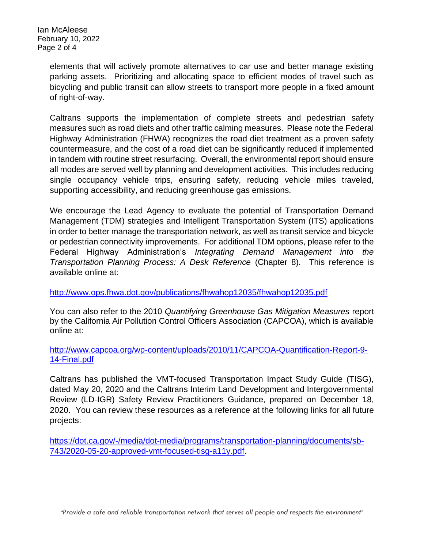Ian McAleese February 10, 2022 Page 2 of 4

> elements that will actively promote alternatives to car use and better manage existing parking assets. Prioritizing and allocating space to efficient modes of travel such as bicycling and public transit can allow streets to transport more people in a fixed amount of right-of-way.

> Caltrans supports the implementation of complete streets and pedestrian safety measures such as road diets and other traffic calming measures. Please note the Federal Highway Administration (FHWA) recognizes the road diet treatment as a proven safety countermeasure, and the cost of a road diet can be significantly reduced if implemented in tandem with routine street resurfacing. Overall, the environmental report should ensure all modes are served well by planning and development activities. This includes reducing single occupancy vehicle trips, ensuring safety, reducing vehicle miles traveled, supporting accessibility, and reducing greenhouse gas emissions.

> We encourage the Lead Agency to evaluate the potential of Transportation Demand Management (TDM) strategies and Intelligent Transportation System (ITS) applications in order to better manage the transportation network, as well as transit service and bicycle or pedestrian connectivity improvements. For additional TDM options, please refer to the Federal Highway Administration's *Integrating Demand Management into the Transportation Planning Process: A Desk Reference* (Chapter 8).This reference is available online at:

<http://www.ops.fhwa.dot.gov/publications/fhwahop12035/fhwahop12035.pdf>

You can also refer to the 2010 *Quantifying Greenhouse Gas Mitigation Measures* report by the California Air Pollution Control Officers Association (CAPCOA), which is available online at:

[http://www.capcoa.org/wp-content/uploads/2010/11/CAPCOA-Quantification-Report-9-](http://www.capcoa.org/wp-content/uploads/2010/11/CAPCOA-Quantification-Report-9-14-Final.pdf) [14-Final.pdf](http://www.capcoa.org/wp-content/uploads/2010/11/CAPCOA-Quantification-Report-9-14-Final.pdf)

Caltrans has published the VMT-focused Transportation Impact Study Guide (TISG), dated May 20, 2020 and the Caltrans Interim Land Development and Intergovernmental Review (LD-IGR) Safety Review Practitioners Guidance, prepared on December 18, 2020. You can review these resources as a reference at the following links for all future projects:

[https://dot.ca.gov/-/media/dot-media/programs/transportation-planning/documents/sb-](https://dot.ca.gov/-/media/dot-media/programs/transportation-planning/documents/sb-743/2020-05-20-approved-vmt-focused-tisg-a11y.pdf)[743/2020-05-20-approved-vmt-focused-tisg-a11y.pdf.](https://dot.ca.gov/-/media/dot-media/programs/transportation-planning/documents/sb-743/2020-05-20-approved-vmt-focused-tisg-a11y.pdf)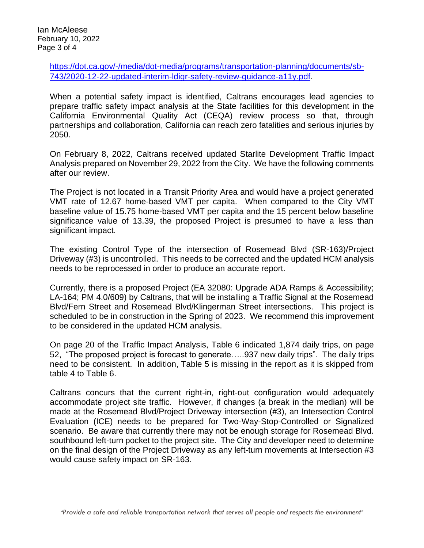[https://dot.ca.gov/-/media/dot-media/programs/transportation-planning/documents/sb-](https://dot.ca.gov/-/media/dot-media/programs/transportation-planning/documents/sb-743/2020-12-22-updated-interim-ldigr-safety-review-guidance-a11y.pdf)[743/2020-12-22-updated-interim-ldigr-safety-review-guidance-a11y.pdf.](https://dot.ca.gov/-/media/dot-media/programs/transportation-planning/documents/sb-743/2020-12-22-updated-interim-ldigr-safety-review-guidance-a11y.pdf)

When a potential safety impact is identified, Caltrans encourages lead agencies to prepare traffic safety impact analysis at the State facilities for this development in the California Environmental Quality Act (CEQA) review process so that, through partnerships and collaboration, California can reach zero fatalities and serious injuries by 2050.

On February 8, 2022, Caltrans received updated Starlite Development Traffic Impact Analysis prepared on November 29, 2022 from the City. We have the following comments after our review.

The Project is not located in a Transit Priority Area and would have a project generated VMT rate of 12.67 home-based VMT per capita. When compared to the City VMT baseline value of 15.75 home-based VMT per capita and the 15 percent below baseline significance value of 13.39, the proposed Project is presumed to have a less than significant impact.

The existing Control Type of the intersection of Rosemead Blvd (SR-163)/Project Driveway (#3) is uncontrolled. This needs to be corrected and the updated HCM analysis needs to be reprocessed in order to produce an accurate report.

Currently, there is a proposed Project (EA 32080: Upgrade ADA Ramps & Accessibility; LA-164; PM 4.0/609) by Caltrans, that will be installing a Traffic Signal at the Rosemead Blvd/Fern Street and Rosemead Blvd/Klingerman Street intersections. This project is scheduled to be in construction in the Spring of 2023. We recommend this improvement to be considered in the updated HCM analysis.

On page 20 of the Traffic Impact Analysis, Table 6 indicated 1,874 daily trips, on page 52, "The proposed project is forecast to generate…..937 new daily trips". The daily trips need to be consistent. In addition, Table 5 is missing in the report as it is skipped from table 4 to Table 6.

Caltrans concurs that the current right-in, right-out configuration would adequately accommodate project site traffic. However, if changes (a break in the median) will be made at the Rosemead Blvd/Project Driveway intersection (#3), an Intersection Control Evaluation (ICE) needs to be prepared for Two-Way-Stop-Controlled or Signalized scenario. Be aware that currently there may not be enough storage for Rosemead Blvd. southbound left-turn pocket to the project site. The City and developer need to determine on the final design of the Project Driveway as any left-turn movements at Intersection #3 would cause safety impact on SR-163.